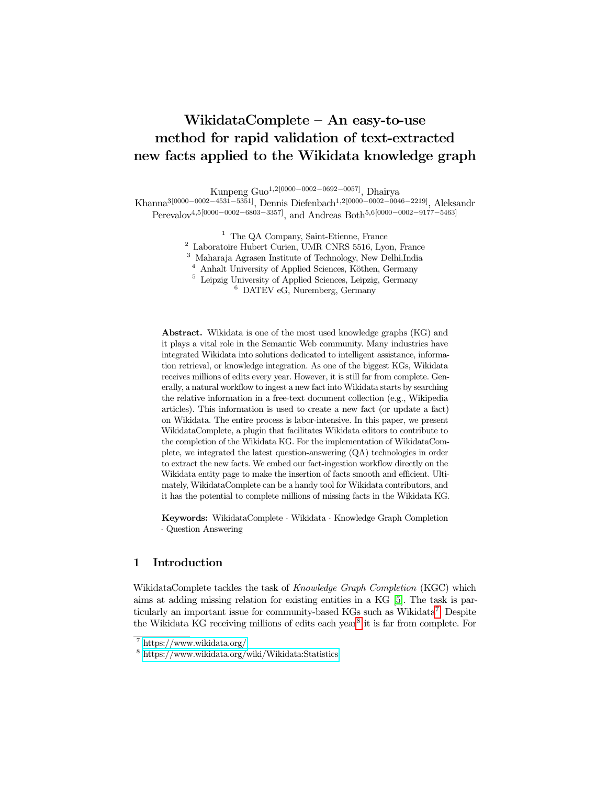# WikidataComplete – An easy-to-use method for rapid validation of text-extracted new facts applied to the Wikidata knowledge graph

Kunpeng Guo1,2[0000−0002−0692−0057], Dhairya

Khanna3[0000−0002−4531−5351], Dennis Diefenbach1,2[0000−0002−0046−2219], Aleksandr Perevalov<sup>4,5[0000–0002–6803–3357]</sup>, and Andreas Both<sup>5,6[0000–0002–9177–5463]</sup>

 $^{\rm 1}$  The QA Company, Saint-Etienne, France

<sup>2</sup> Laboratoire Hubert Curien, UMR CNRS 5516, Lyon, France

<sup>3</sup> Maharaja Agrasen Institute of Technology, New Delhi,India

 $4$  Anhalt University of Applied Sciences, Köthen, Germany

<sup>5</sup> Leipzig University of Applied Sciences, Leipzig, Germany

<sup>6</sup> DATEV eG, Nuremberg, Germany

Abstract. Wikidata is one of the most used knowledge graphs (KG) and it plays a vital role in the Semantic Web community. Many industries have integrated Wikidata into solutions dedicated to intelligent assistance, information retrieval, or knowledge integration. As one of the biggest KGs, Wikidata receives millions of edits every year. However, it is still far from complete. Generally, a natural workflow to ingest a new fact into Wikidata starts by searching the relative information in a free-text document collection (e.g., Wikipedia articles). This information is used to create a new fact (or update a fact) on Wikidata. The entire process is labor-intensive. In this paper, we present WikidataComplete, a plugin that facilitates Wikidata editors to contribute to the completion of the Wikidata KG. For the implementation of WikidataComplete, we integrated the latest question-answering (QA) technologies in order to extract the new facts. We embed our fact-ingestion workflow directly on the Wikidata entity page to make the insertion of facts smooth and efficient. Ultimately, WikidataComplete can be a handy tool for Wikidata contributors, and it has the potential to complete millions of missing facts in the Wikidata KG.

Keywords: WikidataComplete · Wikidata · Knowledge Graph Completion · Question Answering

# 1 Introduction

WikidataComplete tackles the task of Knowledge Graph Completion (KGC) which aims at adding missing relation for existing entities in a KG [\[5\]](#page-3-0). The task is par-ticularly an important issue for community-based KGs such as Wikidata<sup>[7](#page-0-0)</sup>. Despite the Wikidata KG receiving millions of edits each year<sup>[8](#page-0-1)</sup> it is far from complete. For

<span id="page-0-0"></span><sup>7</sup> <https://www.wikidata.org/>

<span id="page-0-1"></span><sup>8</sup> <https://www.wikidata.org/wiki/Wikidata:Statistics>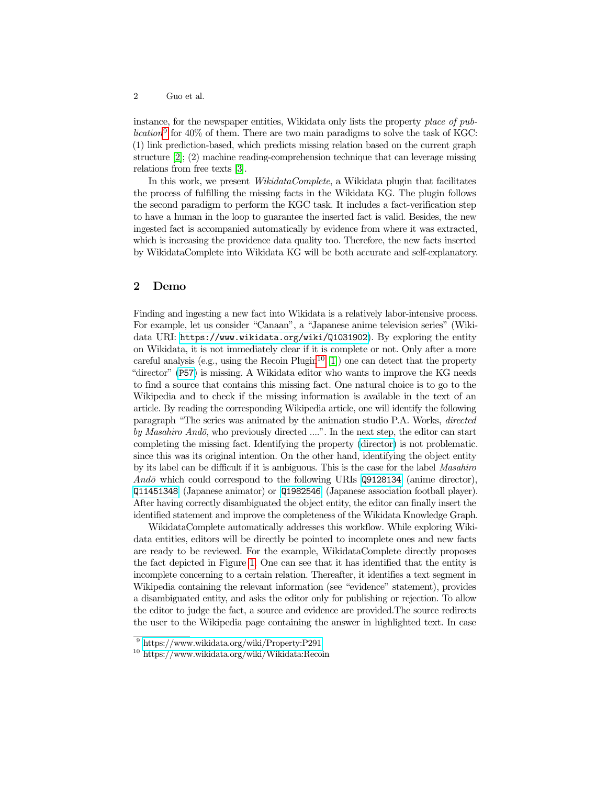instance, for the newspaper entities, Wikidata only lists the property place of pub-lication<sup>[9](#page-1-0)</sup> for 40% of them. There are two main paradigms to solve the task of KGC: (1) link prediction-based, which predicts missing relation based on the current graph structure [\[2\]](#page-3-1); (2) machine reading-comprehension technique that can leverage missing relations from free texts [\[3\]](#page-3-2).

In this work, we present  $WikidataComplete$ , a Wikidata plugin that facilitates the process of fulfilling the missing facts in the Wikidata KG. The plugin follows the second paradigm to perform the KGC task. It includes a fact-verification step to have a human in the loop to guarantee the inserted fact is valid. Besides, the new ingested fact is accompanied automatically by evidence from where it was extracted, which is increasing the providence data quality too. Therefore, the new facts inserted by WikidataComplete into Wikidata KG will be both accurate and self-explanatory.

### 2 Demo

Finding and ingesting a new fact into Wikidata is a relatively labor-intensive process. For example, let us consider "Canaan", a "Japanese anime television series" (Wikidata URI: <https://www.wikidata.org/wiki/Q1031902>). By exploring the entity on Wikidata, it is not immediately clear if it is complete or not. Only after a more careful analysis (e.g., using the Recoin Plugin<sup>[10](#page-1-1)</sup> [\[1\]](#page-3-3)) one can detect that the property "director" ([P57](https://www.wikidata.org/wiki/Property:P57)) is missing. A Wikidata editor who wants to improve the KG needs to find a source that contains this missing fact. One natural choice is to go to the Wikipedia and to check if the missing information is available in the text of an article. By reading the corresponding Wikipedia article, one will identify the following paragraph "The series was animated by the animation studio P.A. Works, directed by Masahiro Andō, who previously directed  $\ldots$ ". In the next step, the editor can start completing the missing fact. Identifying the property [\(director\)](https://www.wikidata.org/wiki/Property:P57) is not problematic. since this was its original intention. On the other hand, identifying the object entity by its label can be difficult if it is ambiguous. This is the case for the label Masahiro Andō which could correspond to the following URIs  $Q9128134$  (anime director), [Q11451348](https://www.wikidata.org/wiki/Q11451348) (Japanese animator) or [Q1982546](https://www.wikidata.org/wiki/Q1982546) (Japanese association football player). After having correctly disambiguated the object entity, the editor can finally insert the identified statement and improve the completeness of the Wikidata Knowledge Graph.

WikidataComplete automatically addresses this workflow. While exploring Wikidata entities, editors will be directly be pointed to incomplete ones and new facts are ready to be reviewed. For the example, WikidataComplete directly proposes the fact depicted in Figure [1.](#page-2-0) One can see that it has identified that the entity is incomplete concerning to a certain relation. Thereafter, it identifies a text segment in Wikipedia containing the relevant information (see "evidence" statement), provides a disambiguated entity, and asks the editor only for publishing or rejection. To allow the editor to judge the fact, a source and evidence are provided.The source redirects the user to the Wikipedia page containing the answer in highlighted text. In case

<span id="page-1-0"></span><sup>9</sup> <https://www.wikidata.org/wiki/Property:P291>

<span id="page-1-1"></span><sup>10</sup> https://www.wikidata.org/wiki/Wikidata:Recoin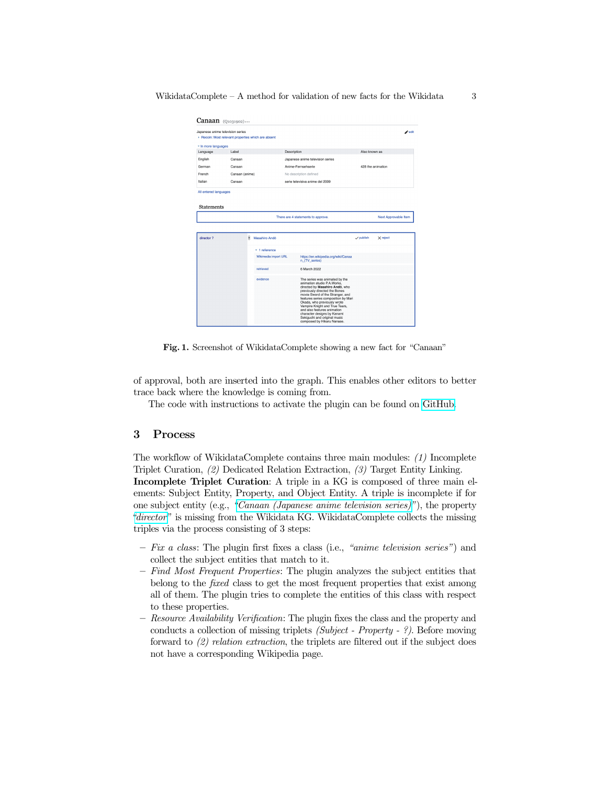|                     | Japanese anime television series<br>Recoin: Most relevant properties which are absent |                      |                                                      |               | $\blacktriangleright$ edit |
|---------------------|---------------------------------------------------------------------------------------|----------------------|------------------------------------------------------|---------------|----------------------------|
| * In more languages |                                                                                       |                      |                                                      |               |                            |
| Language            | Label                                                                                 |                      | Description                                          | Also known as |                            |
| English             | Canaan                                                                                |                      | Japanese anime television series                     |               |                            |
| German              | Canaan                                                                                |                      | Anime-Fernsehserie                                   |               | 428 the animation          |
| French              | Canaan (anime)                                                                        |                      | No description defined                               |               |                            |
| Italian             | Canaan                                                                                |                      | serie televisiva anime del 2009                      |               |                            |
|                     |                                                                                       |                      |                                                      |               |                            |
|                     |                                                                                       |                      | There are 4 statements to approve.                   |               | Next Approvable Item       |
| director 2          | ŝ                                                                                     | Masahiro Ando        |                                                      | y publish     | $\times$ reject            |
|                     |                                                                                       | $-1$ reference       |                                                      |               |                            |
|                     |                                                                                       | Wikimedia import URL | https://en.wikipedia.org/wiki/Canaa<br>n (TV series) |               |                            |
|                     |                                                                                       | retrieved            | 6 March 2022                                         |               |                            |

<span id="page-2-0"></span>Fig. 1. Screenshot of WikidataComplete showing a new fact for "Canaan"

of approval, both are inserted into the graph. This enables other editors to better trace back where the knowledge is coming from.

The code with instructions to activate the plugin can be found on [GitHub.](https://github.com/Dhairya3124/Wikidata-Complete-Gadget)

#### 3 Process

The workflow of WikidataComplete contains three main modules: (1) Incomplete Triplet Curation, (2) Dedicated Relation Extraction, (3) Target Entity Linking. Incomplete Triplet Curation: A triple in a KG is composed of three main el-

ements: Subject Entity, Property, and Object Entity. A triple is incomplete if for one subject entity (e.g., ["Canaan \(Japanese anime television series\)"](https://www.wikidata.org/wiki/Q1031902)), the property ["director"](https://www.wikidata.org/wiki/Property:P57) is missing from the Wikidata KG. WikidataComplete collects the missing triples via the process consisting of 3 steps:

- Fix a class: The plugin first fixes a class (i.e., "anime television series") and collect the subject entities that match to it.
- Find Most Frequent Properties: The plugin analyzes the subject entities that belong to the fixed class to get the most frequent properties that exist among all of them. The plugin tries to complete the entities of this class with respect to these properties.
- Resource Availability Verification: The plugin fixes the class and the property and conducts a collection of missing triplets (Subject - Property - ?). Before moving forward to (2) relation extraction, the triplets are filtered out if the subject does not have a corresponding Wikipedia page.